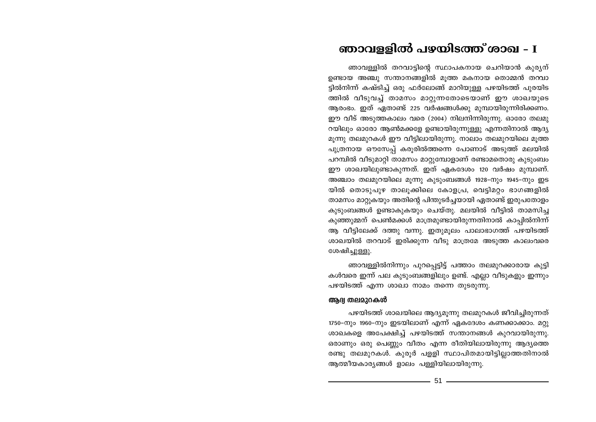# ഞാവള്ളിൽ പഴയിടത്ത് ശാഖ - I

ഞാവള്ളിൽ തറവാട്ടിന്റെ സ്ഥാപകനായ ചെറിയാൻ കുര്യന് ഉണ്ടായ അഞ്ചു സന്താനങ്ങളിൽ മൂത്ത മകനായ തൊമ്മൻ തന്ധാ ട്ടിൽനിന്ന് കഷ്ടിച്ച് ഒരു ഫർലോങ്ങ് മാറിയുള്ള പഴയിടത്ത് പുരയിട ത്തിൽ വീടുവച്ച് താമസം മാറ്റുന്നതോടെയാണ് ഈ ശാഖയുടെ ആരംഭം. ഇത് ഏതാണ്ട് 225 വർഷങ്ങൾക്കു മുമ്പായിരുന്നിരിക്കണം. ഈ വീട് അടുത്തകാലം വരെ (2004) നിലനിന്നിരുന്നു. ഓരോ തലമു റയിലും ഓരോ ആൺമക്കളേ ഉണ്ടായിരുന്നുള്ളു എന്നതിനാൽ ആദ്യ മൂന്നു തലമുറകൾ ഈ വീട്ടിലായിരുന്നു. നാലാം തലമുറയിലെ മൂത്ത പുത്രനായ ഔസേപ്പ് കരുരിൽത്തന്നെ പോണാട് അടുത്ത് മലയിൽ പറമ്പിൽ വീടുമാറ്റി താമസം മാറ്റുമ്പോളാണ് രണ്ടാമതൊരു കുടുംബം ഈ ശാഖയിലുണ്ടാകുന്നത്. ഇത് ഏകദേശം 120 വർഷം മുമ്പാണ്. അഞ്ചാം തലമുറയിലെ മൂന്നു കൂടുംബങ്ങൾ 1928-നും 1945-നും ഇട യിൽ തൊടുപുഴ താലൂക്കിലെ കോളപ്ര, വെട്ടിമറ്റം ഭാഗങ്ങളിൽ താമസം മാറ്റുകയും അതിന്റെ പിന്തുടർച്ചയായി ഏതാണ്ട് ഇരുപതോളം കുടുംബങ്ങൾ ഉണ്ടാകുകയും ചെയ്തു. മലയിൽ വീട്ടിൽ താമസിച്ച കുഞ്ഞുമ്മന് പെൺമക്കൾ മാത്രമുണ്ടായിരുന്നതിനാൽ കാപ്പിൽനിന്ന് ആ വീട്ടിലേക്ക് ദത്തു വന്നു. ഇതുമുലം പാലാഭാഗത്ത് പഴയിടത്ത് ശാഖയിൽ തറവാട് ഇരിക്കുന്ന വീടു മാത്രമേ അടുത്ത കാലംവരെ ശേഷിച്ചുള്ളു.

ഞാവള്ളിൽനിന്നും പുറപ്പെട്ടിട്ട് പത്താം തലമുറക്കാരായ കുട്ടി കൾവരെ ഇന്ന് പല കുടുംബങ്ങളിലും ഉണ്ട്. എല്ലാ വീടുകളും ഇന്നും പഴയിടത്ത് എന്ന ശാഖാ നാമം തന്നെ തുടരുന്നു.

## ആദ്വ തലമുറകൾ

പഴയിടത്ത് ശാഖയിലെ ആദ്യമുന്നു തലമുറകൾ ജീവിച്ചിരുന്നത് 1750-നും 1960-നും ഇടയിലാണ് എന്ന് ഏകദേശം കണക്കാക്കാം. മറ്റു ശാഖകളെ അപേക്ഷിച്ച് പഴയിടത്ത് സന്താനങ്ങൾ കുറവായിരുന്നു. ഒരാണും ഒരു പെണ്ണും വീതം എന്ന രീതിയിലായിരുന്നു ആദ്യത്തെ രണ്ടു തലമുറകൾ. കുരുർ പള്ളി സ്ഥാപിതമായിട്ടില്ലാത്തതിനാൽ ആത്മീയകാര്യങ്ങൾ ളാലം പള്ളിയിലായിരുന്നു.

51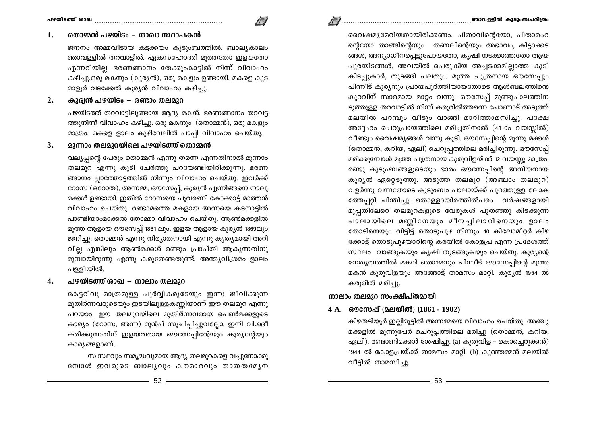#### തൊമ്മൻ പഴയിടം – ശാഖാ സ്ഥാപകൻ 1.

ജനനം അമ്മവീടായ കട്ടക്കയം കൂടുംബത്തിൽ. ബാല്യകാലം ഞാവള്ളിൽ തറവാട്ടിൽ. ഏകസഹോദരി മുത്തതോ ഇളയതോ എന്നറിയില്ല. ഭരണങ്ങാനം തേക്കുംകാട്ടിൽ നിന്ന് വിവാഹം കഴിച്ചു.ഒരു മകനും (കുര്യൻ), ഒരു മകളും ഉണ്ടായി. മകളെ കുട മാളുർ വടക്കേൽ കുര്യൻ വിവാഹം കഴിച്ചു.

/ I

### കുര്വൻ പഴയിടം – രണ്ടാം തലമാറ  $2.$

പഴയിടത്ത് തറവാട്ടിലുണ്ടായ ആദ്യ മകൻ. ഭരണങ്ങാനം തറവട്ട ത്തുനിന്ന് വിവാഹം കഴിച്ചു. ഒരു മകനും (തൊമ്മൻ), ഒരു മകളും മാത്രം. മകളെ ളാലം കുഴിവേലിൽ പാപ്പി വിവാഹം ചെയ്തു.

### **മൂന്നാം തലമുറയിലെ പഴയിടത്ത് തൊ**മ്മൻ  $3.$

വല്യപ്പന്റെ പേരും തൊമ്മൻ എന്നു തന്നെ എന്നതിനാൽ മുന്നാം തലമുറ എന്നു കൂടി ചേർത്തു പറയേണ്ടിയിരിക്കുന്നു. ഭരണ ങ്ങാനം പ്ലാത്തോട്ടത്തിൽ നിന്നും വിവാഹം ചെയ്തു. ഇവർക്ക് റോസ (ഒറോത), അന്നമ്മ, ഔസേപ്പ്, കുര്യൻ എന്നിങ്ങനെ നാലു മക്കൾ ഉണ്ടായി. ഇതിൽ റോസയെ പുവരണി കോക്കാട്ട് മാത്തൻ വിവാഹം ചെയ്തു. രണ്ടാമത്തെ മകളായ അന്നയെ കടനാട്ടിൽ പാണ്ടിയാംമാക്കൽ തോമ്മാ വിവാഹം ചെയ്തു. ആൺമക്കളിൽ മൂത്ത ആളായ ഔസേപ്പ് 1861 ലും, ഇളയ ആളായ കുര്യൻ 1869ലും ജനിച്ചു. തൊമ്മൻ എന്നു നിര്യാതനായി എന്നു കൃത്യമായി അറി വില്ല എങ്കിലും ആൺമക്കൾ രണ്ടും പ്രാപ്തി ആകുന്നതിനു മുമ്പായിരുന്നു എന്നു കരുതേണ്ടതുണ്ട്. അന്ത്യവിശ്രമം ളാലം പള്ളിയിൽ.

### പഴയിടത്ത് രാഖ – നാലാം തലമുറ  $\boldsymbol{4}$ .

കേട്ടറിവു മാത്രമുള്ള പൂർവ്വികരുടേയും ഇന്നു ജീവിക്കുന്ന മുതിർന്നവരുടെയും ഇടയിലുള്ളകണ്ണിയാണ് ഈ തലമുറ എന്നു പറയാം. ഈ തലമുറയിലെ മുതിർന്നവരായ പെൺമക്കളുടെ കാര്യം (റോസ, അന്ന) മുൻപ് സൂചിപ്പിച്ചുവല്ലോ. ഇനി വിശദീ കരിക്കുന്നതിന് ഇളയവരായ ഔസേപ്പിന്റേയും കുര്യന്റേയും കാര്യങ്ങളാണ്.

സ്വസ്ഥവും സമൃദ്ധവുമായ ആദ്യ തലമുറകളെ വച്ചുനോക്കു മ്പോൾ ഇവരുടെ ബാലൃവും കൗമാരവും താതതമ്യേന വൈഷമൃമേറിയതായിരിക്കണം. പിതാവിന്റെയോ, പിതാമഹ ന്റെയോ താങ്ങിന്റെയും തണലിന്റെയും അഭാവം, കിട്ടാക്കട ങ്ങൾ, അന്യാധീനപ്പെട്ടുപോയതോ, കൃഷി നടക്കാത്തതോ ആയ പുരയിടങ്ങൾ, അവയിൽ പെരുകിയ അച്ചടക്കമില്ലാത്ത കുടി കിടപ്പുകാർ, തുടങ്ങി പലതും. മുത്ത പുത്രനായ ഔസേപ്പും പിന്നീട് കുര്യനും പ്രായപൂർത്തിയായതോടെ ആൾബലത്തിന്റെ കുറവിന് സാരമായ മാറ്റം വന്നു. ഔസേപ്പ് മുണ്ടുപാലത്തിന ടുത്തുള്ള തറവാട്ടിൽ നിന്ന് കരുരിൽത്തന്നെ പോണാട് അടുത്ത് മലയിൽ പറമ്പും വീടും വാങ്ങി മാറിത്താമസിച്ചു. പക്ഷേ അദ്ദേഹം ചെറുപ്രായത്തിലെ മരിച്ചതിനാൽ (41-ാം വയസ്സിൽ) വീണ്ടും വൈഷമൃങ്ങൾ വന്നു കൂടി. ഔസേപ്പിന്റെ മൂന്നു മക്കൾ (തൊമ്മൻ, കറിയ, ഏലി) ചെറുപ്പത്തിലെ മരിച്ചിരുന്നു. ഔസേപ്പ് മരിക്കുമ്പോൾ മൂത്ത പുത്രനായ കുരുവിളയ്ക്ക് 12 വയസ്സു മാത്രം. രണ്ടു കുടുംബങ്ങളുടെയും ഭാരം ഔസേപ്പിന്റെ അനിയനായ കുര്യൻ ഏറ്റെടുത്തു. അടുത്ത തലമുറ (അഞ്ചാം തലമുറ) വളർന്നു വന്നതോടെ കുടുംബം പാലായ്ക്ക് പുറത്തുള്ള ലോക ത്തേപറി ചിന്തിച്ചു. തൊള്ളായിരത്തിൽപരം വർഷങ്ങളായി മുപ്പതിലേറെ തലമുറകളുടെ വേരുകൾ പുതഞ്ഞു കിടക്കുന്ന പാലായിലെ മണ്ണിനേയും മീനച്ചിലാറിനെയും ളാലം തോടിനെയും വിട്ടിട്ട് തൊടുപുഴ നിന്നും 10 കിലോമീറ്റർ കിഴ ക്കോട്ട് തൊടുപുഴയാറിന്റെ കരയിൽ കോളപ്ര എന്ന പ്രദേശത്ത് സ്ഥലം വാങ്ങുകയും കൃഷി തുടങ്ങുകയും ചെയ്തു. കുര്യന്റെ നേതൃത്വത്തിൽ മകൻ തൊമ്മനും പിന്നീട് ഔസേപ്പിന്റെ മുത്ത മകൻ കുരുവിളയും അങ്ങോട്ട് താമസം മാറ്റി. കുര്യൻ 1954 ൽ

## നാലാം തലമുറ സംക്ഷിപ്തമായി

കരുരിൽ മരിച്ചു.

## 4 A. ഔസേപ് (മലയിൽ) (1861 - 1902)

കിഴതടിയൂർ ഇല്ലിമുട്ടിൽ അന്നമ്മയെ വിവാഹം ചെയ്തു. അഞ്ചു മക്കളിൽ മൂന്നുപേർ ചെറുപ്പത്തിലെ മരിച്ചു (തൊമ്മൻ, കറിയ, ഏലി). രണ്ടാൺമക്കൾ ശേഷിച്ചു. (a) കുരുവിള – കൊച്ചെറുക്കൻ) 1944 ൽ കോളപ്രയ്ക്ക് താമസം മാറ്റി. (b) കുഞ്ഞമ്മൻ മലയിൽ വീട്ടിൽ താമസിച്ചു.

 $-52$   $-$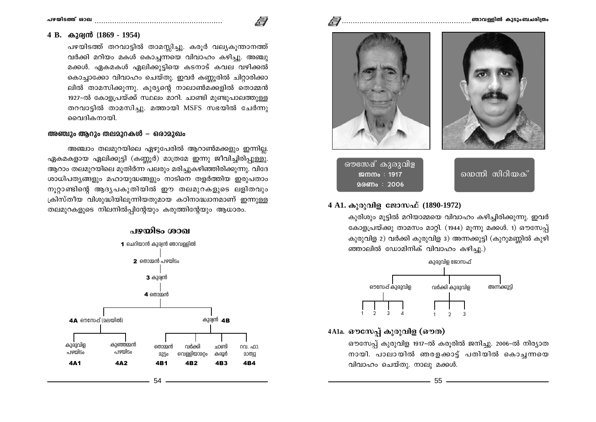### **]g-bn-SØv imJ ..........................................................**

### **4 B. Ipcy≥ (1869 - 1954)**

പഴയിടത്ത് തറവാട്ടിൽ താമസ്ലിച്ചു. കരുർ വല്യകുന്താനത്ത് വർക്കി മറിയം മകൾ കൊച്ചന്നയെ വിവാഹം കഴിച്ചു. അഞ്ചു മക്കൾ. ഏകമകൾ ഏലിക്കുട്ടിയെ കടനാട് കവല വഴിക്കൽ കൊച്ചാക്കോ വിവാഹം ചെയ്തു. ഇവർ കണ്ണൂരിൽ ചിറ്റാരിക്കാ ലിൽ താമസിക്കുന്നു. കുര്യന്റെ നാലാൺമക്കളിൽ തൊമ്മൻ 1927-ൽ കോളപ്രയ്ക്ക് സ്ഥലം മാറി. ചാണ്ടി മുണ്ടുപാലത്തുള്ള തറവാട്ടിൽ താമസിച്ചു. മത്തായി MSFS സഭയിൽ ചേർന്നു വൈദികനായി.

## **അഞ്ചും ആറും തലമുറകൾ – ഒരാമുഖം**

അഞ്ചാം തലമുറയിലെ ഏഴുപേരിൽ ആറാൺമക്കളും ഇന്നില്ല. ഏകമകളായ ഏലിക്കുട്ടി (കണ്ണൂർ) മാത്രമേ ഇന്നു ജീവിച്ചിരിപ്പുള്ളു. ആറാം തലമുറയിലെ മുതിർന്ന പലരും മരിച്ചുകഴിഞ്ഞിരിക്കുന്നു. വിദേ ശാധിപതൃങ്ങളും മഹായുദ്ധങ്ങളും നാടിനെ തളർത്തിയ ഇരുപതാം നൂറ്റാണ്ടിന്റെ ആദ്യപകുതിയിൽ ഈ തലമുറകളുടെ ലളിതവും (കിസ്തീയ വിശുദ്ധിയിലൂന്നിയതുമായ കഠിനാദ്ധാനമാണ് ഇന്നുള്ള തലമുറകളുടെ നിലനിൽപ്പിന്റേയും കരുത്തിന്റേയും ആധാരം.





ഔസേഷ് കുരുവിള  $\mathfrak{M}\mathfrak{m}\mathfrak{m}$  : 1917 **2006** : 2006

യെന്നി സിറിയക്

## $4$  A1. കുരുവിള ജോസഫ് (1890-1972)

കുരിശും മുട്ടിൽ മറിയാമ്മയെ വിവാഹം കഴിച്ചിരിക്കുന്നു. ഇവർ കോളപ്രയ്ക്കു താമസം മാറ്റി. (1944) മൂന്നു മക്കൾ. 1) ഔസേപ്പ് കുരുവിള 2) വർക്കി കുരുവിള 3) അന്നക്കുട്ടി (കുറുമണ്ണിൽ കൂഴി ഞ്ഞാലിൽ ഡോമിനിക് വിവാഹം കഴിച്ചു.)



 $4$ A1a. ഔസേപ് കുരുവിള (ഔത)

ഔസേപ്പ് കുരുവിള 1917-ൽ കരൂരിൽ ജനിച്ചു. 2006-ൽ നിര്യാത നായി. പാലായിൽ ഞരളക്കാട്ട് പതിയിൽ കൊച്ചന്നയെ വിവാഹം ചെയ്തു. നാലു മക്കൾ.

55 ————————————————————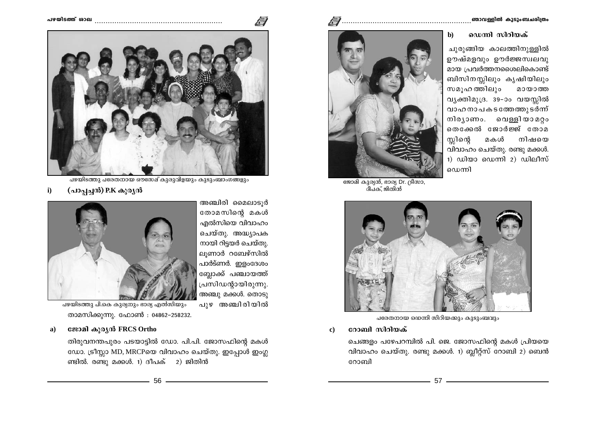### ഡെന്നി സിറിയക്  $\mathbf{b}$

ചുരുങ്ങിയ കാലത്തിനുള്ളിൽ ഊഷ്മളവും ഊർജ്ജസ്വലവു മായ പ്രവർത്തനശൈലികൊണ്ട് ബിസിനസ്സിലും കൃഷിയിലും സമുഹ ത്തിലും മായാത്ത വ്യക്തിമുദ്ര. 39-ാം വയസ്സിൽ വാഹനാപകടത്തേത്തുടർന്ന് നിര്യാണം. വെള്ളിയാമറ്റം തെക്കേൽ ജോർജ്ജ് തോമ മകൾ നിഷയെ സ്ലിന്റെ വിവാഹം ചെയ്തു. രണ്ടു മക്കൾ. 1) ഡിയാ ഡെന്നി 2) ഡിലീസ് ഡെന്നി



ജോമി കുര്യൻ, ഭാര്യ Dr. ട്രീസാ, ീപക്, ജിതിൻ



പരേതനായ ഡെന്നി സിറിയക്കും കുടുംബവും

റോബി സിറിയക്  $\bf c)$ 

> ചെങ്ങളം പഴേപറമ്പിൽ പി. ജെ. ജോസഫിന്റെ മകൾ പ്രിയയെ വിവാഹം ചെയ്തു. രണ്ടു മക്കൾ. 1) ബ്ലീറ്റ്സ് റോബി 2) ബെൻ റോബി



അഞ്ചിരി മൈലാടൂർ തോമസിന്റെ മകൾ എൽസിയെ വിവാഹം ചെയ്തു. അദ്ധ്യാപക നായി റിട്ടയർ ചെയ്തു. ലൂണാർ റബേഴ്സിൽ പാർട്ണർ. ഇളംദേശം ബ്ലോക്ക് പഞ്ചായത്ത് പ്രസിഡന്റായിരുന്നു. അഞ്ചു മക്കൾ. തൊടു പഴയിടത്തു പി.കെ കുര്യനും ഭാര്യ എൽസിയും

 $\sqrt{ }$ 

പുഴ അഞ്ചിരിയിൽ

താമസിക്കുന്നു. ഫോൺ : 04862-258232.

### ജോമി കുരൃൻ FRCS Ortho a)

തിരുവനന്തപുരം പടയാട്ടിൽ ഡോ. പി.പി. ജോസഫിന്റെ മകൾ ഡോ. ട്രീസ്സാ MD, MRCPയെ വിവാഹം ചെയ്തു. ഇപ്പോൾ ഇംഗ്ല ണ്ടിൽ. രണ്ടു മക്കൾ. 1) ദീപക് 2) ജിതിൻ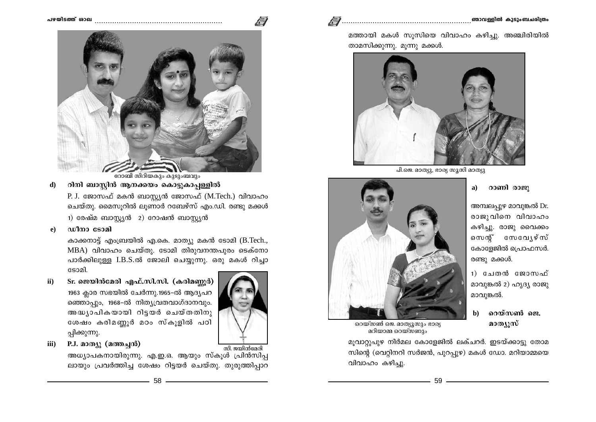

റോബി സിറിയകും കുടുംബവും

റിനി ബാസ്റ്റിൻ ആനക്കയം കൊട്ടുകാപ്പള്ളിൽ  $\mathbf{d}$ 

> P. J. ജോസഫ് മകൻ ബാസ്റ്റ്യൻ ജോസഫ് (M.Tech.) വിവാഹം ചെയ്തു. മൈസൂറിൽ ലൂണാർ റബേഴ്സ് എം.ഡി. രണ്ടു മക്കൾ 1) രേഷ്മ ബാസ്റ്റ്യൻ 2) റോഷൻ ബാസ്റ്റ്യൻ

ഡീനാ ടോമി  $\bf e)$ 

> കാക്കനാട്ട് എംബ്രയിൽ എ.കെ. മാത്യു മകൻ ടോമി (B.Tech., MBA) വിവാഹം ചെയ്തു. ടോമി തിരുവനന്തപുരം ടെക്നോ പാർക്കിലുള്ള I.B.S.ൽ ജോലി ചെയ്യുന്നു. ഒരു മകൾ റിച്ചാ ടോമി.

- Sr. ജെയിൻമേരി എഫ്.സി.സി. (കരിമണ്ണർ)  $\mathbf{ii}$ 1963 ക്ലാര സഭയിൽ ചേർന്നു.1965-ൽ ആദ്യപറ ഞ്ഞൊപ്പും, 1968–ൽ നിതൃവ്രതവാഗ്ദാനവും. അദ്ധ്യാപികയായി റിട്ടയർ ചെയ്തതിനു ശേഷം കരിമണ്ണൂർ മഠം സ്കൂളിൽ പഠി പ്പിക്കുന്നു.
- P.J. മാത്യു (മത്തച്ചൻ) iii)

സി. ജയിൻമേരി അധ്യാപകനായിരുന്നു. എ.ഇ.ഒ. ആയും സ്കൂൾ പ്രിൻസിപ്പ ലായും പ്രവർത്തിച്ച ശേഷം റിട്ടയർ ചെയ്തു. തുരുത്തിപാറ





പി.ജെ. മാത്യു, ഭാര്യ സൂസി മാത്യു

റാണി രാജു  $a)$ 

അമ്പലപ്പുഴ മാവുങ്കൽ Dr. രാജുവിനെ വിവാഹം കഴിച്ചു. രാജു വൈക്കം സെന്റ് സേവ്യേഴ്സ് കോളേജിൽ പ്രൊഫസർ. രണ്ടു മക്കൾ.

1) ചേതൻ ജോസഫ് മാവുങ്കൽ 2) ഹൃദ്യ രാജു മാവുങ്കൽ.

റെയ്സൺ ജെ.  $\mathbf{b}$ മാത്യൂസ്

റെയ്സൺ ജെ. മാത്യൂസും ഭാര്യ മറിയാമ്മ റെയ്സ്ണും

മൂവാറ്റുപുഴ നിർമല കോളേജിൽ ലക്ചറർ. ഇടയ്ക്കാട്ടു തോമ സിന്റെ (വെറ്റിനറി സർജൻ, പുറപ്പുഴ) മകൾ ഡോ. മറിയാമ്മയെ വിവാഹം കഴിച്ചു.

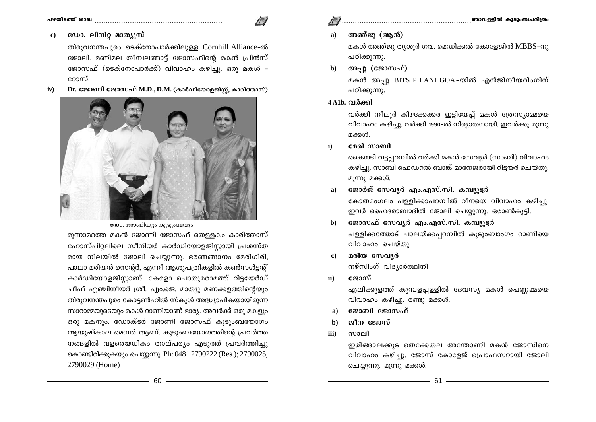ഡോ. ലിനിറ്റ മാത്യുസ്  $\bf c)$ 

> തിരുവനന്തപൂരം ടെക്നോപാർക്കിലുള്ള Cornhill Alliance-ൽ ജോലി. മണിമല തീമ്പലങ്ങാട്ട് ജോസഫിന്റെ മകൻ പ്രിൻസ് ജോസഫ് (ടെക്നോപാർക്ക്) വിവാഹം കഴിച്ചു. ഒരു മകൾ -റോസ്

Dr. ജോണി ജോസഫ് M.D., D.M. (കാർഡിയോളജിസ്റ്റ്, കാരിത്താസ്)  $iv)$ 



യോ. ജോണിയും കുടുംബവും

മുന്നാമത്തെ മകൻ ജോണി ജോസഫ് തെള്ളകം കാരിത്താസ് ഹോസ്പിറ്റലിലെ സീനിയർ കാർഡിയോളജിസ്റ്റായി പ്രശസ്ത മായ നിലയിൽ ജോലി ചെയ്യുന്നു. ഭരണങ്ങാനം മേരിഗിരി, പാലാ മരിയൻ സെന്റർ, എന്നീ ആശുപത്രികളിൽ കൺസൾട്ടന്റ് കാർഡിയോളജിസ്റ്റാണ്. കേരളാ പൊതുമരാമത്ത് റിട്ടയേർഡ് ചീഫ് എഞ്ചിനീയർ ശ്രീ. എം.ജെ. മാത്യു മണക്കളത്തിന്റെയും തിരുവനന്തപുരം കോട്ടൺഹിൽ സ്കൂൾ അദ്ധ്യാപികയായിരുന്ന സാറാമ്മയുടെയും മകൾ റാണിയാണ് ഭാര്യ. അവർക്ക് ഒരു മകളും ഒരു മകനും. ഡോക്ടർ ജോണി ജോസഫ് കൂടുംബയോഗം ആയുഷ്കാല മെമ്പർ ആണ്. കുടുംബയോഗത്തിന്റെ പ്രവർത്ത നങ്ങളിൽ വളരെയധികം താല്പര്യം എടുത്ത് പ്രവർത്തിച്ചു കൊണ്ടിരിക്കുകയും ചെയ്യുന്നു. Ph: 0481 2790222 (Res.); 2790025, 2790029 (Home)

### അഞ്ജു (ആൻ)  $a)$

മകൾ അഞ്ജു തൃശൂർ ഗവ. മെഡിക്കൽ കോളേജിൽ MBBS-നു പഠിക്കുന്നു.

അപ്പു (ജോസഫ്) b)

> മകൻ അപ്പു BITS PILANI GOA-യിൽ എൻജിനീയറിംഗിന് പഠിക്കുന്നു.

## $4$ A1b. വർക്കി

വർക്കി നീലൂർ കിഴക്കേക്കര ഇട്ടിയേപ്പ് മകൾ ത്രേസ്യാമ്മയെ വിവാഹം കഴിച്ചു. വർക്കി 1990-ൽ നിര്യാതനായി. ഇവർക്കു മൂന്നു മക്കൾ.

മേരി സാബി  $\mathbf{i}$ 

> കൈനടി വട്ടപ്പറമ്പിൽ വർക്കി മകൻ സേവ്യർ (സാബി) വിവാഹം കഴിച്ചു. സാബി ഫെഡറൽ ബാങ്ക് മാനേജരായി റിട്ടയർ ചെയ്തു. മൂന്നു മക്കൾ.

- ജോർജ് സേവ്യർ എം.എസ്.സി. കമ്പ്യൂട്ടർ a) കോതമംഗലം പള്ളിക്കാപറമ്പിൽ റീനയെ വിവാഹം കഴിച്ചു. ഇവർ ഹൈദരാബാദിൽ ജോലി ചെയ്യുന്നു. ഒരാൺകുട്ടി.
- ജോസഫ് സേവ്യർ എം.എസ്.സി. കമ്പ്യൂട്ടർ  $h)$ പള്ളിക്കത്തോട് പാലയ്ക്കപ്പറമ്പിൽ കുടുംബാംഗം റാണിയെ വിവാഹം ചെയ്തു.
- മരിയ സേവ്യർ  $\mathbf{c}$ നഴ്സിംഗ് വിദ്യാർത്ഥിനി
- $\mathbf{ii}$ ജോസ്

എലിക്കുളത്ത് കുമ്പളപ്പള്ളിൽ ദേവസ്യ മകൾ പെണ്ണമ്മയെ വിവാഹം കഴിച്ചു. രണ്ടു മക്കൾ.

- ജോബി ജോസഫ് a)
- ജീന ജോസ് b)
- iii) സാലി

ഇരിങ്ങാലക്കുട തെക്കേതല അന്തോണി മകൻ ജോസിനെ വിവാഹം കഴിച്ചു. ജോസ് കോളേജ് പ്രൊഫസറായി ജോലി ചെയ്യുന്നു. മുന്നു മക്കൾ.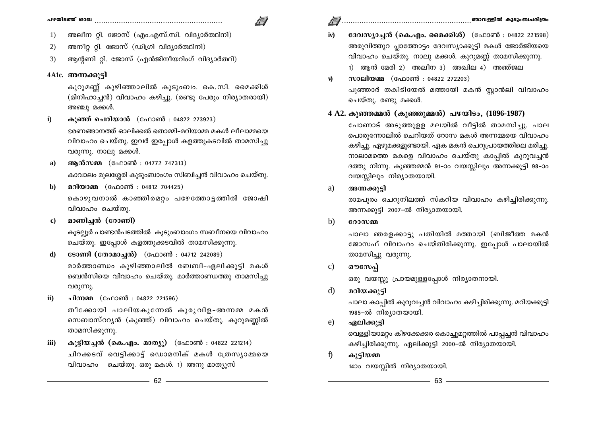- അലീന റ്റി. ജോസ് (എം.എസ്.സി. വിദ്യാർത്ഥിനി) 1)
- അനീറ്റ റ്റി. ജോസ് (ഡിഗ്രി വിദ്യാർത്ഥിനി)  $(2)$
- ആന്റണി റ്റി. ജോസ് (എൻജിനീയറിംഗ് വിദ്യാർത്ഥി) 3)

## 4A1c. അന്നക്കാടി

കുറുമണ്ണ് കുഴിഞ്ഞാലിൽ കുടുംബം. കെ.സി. മൈക്കിൾ (മിനിഹാച്ചൻ) വിവാഹം കഴിച്ചു. (രണ്ടു പേരും നിര്യാതരായി) അഞ്ചു മക്കൾ.

- കുഞ്ഞ് ചെറിയാൻ (ഫോൺ : 04822 273923)  $\mathbf{i}$ ഭരണങ്ങാനത്ത് ഓലിക്കൽ തൊമ്മി-മറിയാമ്മ മകൾ ലീലാമ്മയെ വിവാഹം ചെയ്തു. ഇവർ ഇപ്പോൾ കളത്തുകടവിൽ താമസിച്ചു വരുന്നു. നാലു മക്കൾ.
- അൻസമ്മ (ഫോൺ : 04772 747313)  $a)$

കാവാലം മൂലശ്ശേരി കുടുംബാംഗം സിബിച്ചൻ വിവാഹം ചെയ്തു.

- മറിയാമ്മ (ഫോൺ : 04812 704425) b) കൊഴുവനാൽ കാഞ്ഞിരമറ്റം പഴേത്തോട്ടത്തിൽ ജോഷി വിവാഹം ചെയ്തു.
- മാണിച്ചൻ (റോണി)  $\bf c)$

കുടല്ലൂർ പാണ്ടൻപടത്തിൽ കൂടുംബാംഗം സബീനയെ വിവാഹം ചെയ്തു. ഇപ്പോൾ കളത്തുക്കടവിൽ താമസിക്കുന്നു.

- **ടോണി (തോമാച്ചൻ)** (ഫോൺ : 04712 242089)  $\mathbf{d}$ മാർത്താണ്ഡം കുഴിഞ്ഞാലിൽ ബേബി-ഏലിക്കുട്ടി മകൾ ബെൻസിയെ വിവാഹം ചെയ്തു. മാർത്താണ്ഡത്തു താമസിച്ചു വരുന്നു.
- ചിന്നമ്മ (ഫോൺ : 04822 221596)  $\mathbf{ii}$ തീക്കോയി പാലിയകുന്നേൽ കുരുവിള-അന്നമ്മ മകൻ സെബാസ്ററുൻ (കുഞ്ഞ്) വിവാഹം ചെയ്തു. കുറുമണ്ണിൽ താമസിക്കുന്നു.
- കുട്ടിയച്ചൻ (കെ.എം. മാത്യു) (ഫോൺ : 04822 221214) iii) ചിറക്കടവ് വെട്ടിക്കാട് ഡൊമനിക് മകൾ ത്രേസ്യാമ്മയെ വിവാഹം ചെയ്തു. ഒരു മകൾ. 1) അനു മാത്യൂസ്
- ദേവസ്യാച്ചൻ (കെ.എം. മൈക്കിൾ) (ഫോൺ : 04822 221598)  $iv)$ അരുവിത്തുറ പ്ലാത്തോട്ടം ദേവസ്യാക്കുട്ടി മകൾ ജോർജിയയെ വിവാഹം ചെയ്തു. നാലു മക്കൾ. കുറുമണ്ണ് താമസിക്കുന്നു.  $1)$  ആൻ മേരി 2) അലീന 3) അഖില 4) അഞ്ജല
- സാലിയമ്മ (ഫോൺ : 04822 272203)  $\vec{v}$ പൂഞ്ഞാർ തകിടിയേൽ മത്തായി മകൻ സ്റ്റാൻലി വിവാഹം ചെയ്തു. രണ്ടു മക്കൾ.

## 4 A2. കുഞ്ഞമ്മൻ (കുഞ്ഞുമ്മൻ) പഴയിടം, (1896-1987)

പോണാട് അടുത്തുള്ള മലയിൽ വീട്ടിൽ താമസിച്ചു. പാല പൊരുന്നോലിൽ ചെറിയത് റോസ മകൾ അന്നമ്മയെ വിവാഹം കഴിച്ചു. ഏഴുമക്കളുണ്ടായി. ഏക മകൻ ചെറുപ്രായത്തിലെ മരിച്ചു. നാലാമത്തെ മകളെ വിവാഹം ചെയ്തു കാപ്പിൽ കുറുവച്ചൻ ദത്തു നിന്നു. കുഞ്ഞമ്മൻ 91-ാം വയസ്സിലും അന്നക്കുട്ടി 98-ാം വയസ്സിലും നിര്യാതയായി.

അന്നക്കുട്ടി a)

> രാമപുരം ചെറുനിലത്ത് സ്കറിയ വിവാഹം കഴിച്ചിരിക്കുന്നു. അന്നക്കുട്ടി 2007-ൽ നിര്യാതയായി.

b) റോസമ്മ

> പാലാ ഞരളക്കാട്ടു പതിയിൽ മത്തായി (ബിജീത്ത മകൻ ജോസഫ് വിവാഹം ചെയ്തിരിക്കുന്നു. ഇപ്പോൾ പാലായിൽ താമസിച്ചു വരുന്നു.

ഔസേപ്  $\mathbf{c}$ 

ഒരു വയസ്സു പ്രായമുള്ളപ്പോൾ നിര്യാതനായി.

മറിയക്കുട്ടി d)

> പാലാ കാപ്പിൽ കുറുവച്ചൻ വിവാഹം കഴിച്ചിരിക്കുന്നു. മറിയക്കുട്ടി 1985-ൽ നിര്യാതയായി.

 $e)$ ഏലിക്കുട്ടി

> വെള്ളിയാമറ്റം കിഴക്കേക്കര കൊച്ചുമറ്റത്തിൽ പാപ്പച്ചൻ വിവാഹം കഴിച്ചിരിക്കുന്നു. ഏലിക്കുട്ടി 2000-ൽ നിര്യാതയായി.

 $\mathbf{f}$ കൂട്ടിയമ്മ

1400 വയസ്സിൽ നിര്യാതയായി.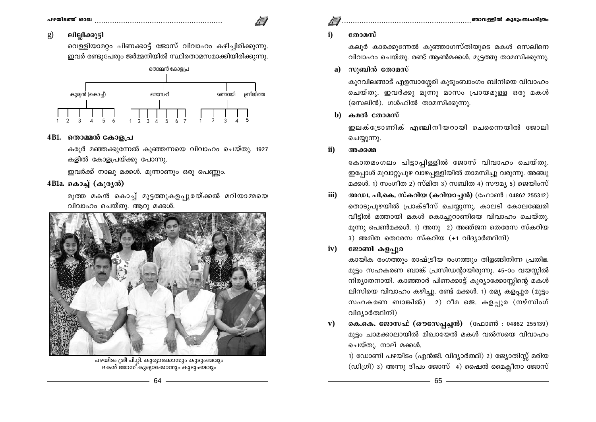### ലില്ലിക്കുട്ടി  $\mathbf{g}$

വെള്ളിയാമറ്റം പിണക്കാട്ട് ജോസ് വിവാഹം കഴിച്ചിരിക്കുന്നു. ഇവർ രണ്ടുപേരും ജർമ്മനിയിൽ സ്ഥിരതാമസമാക്കിയിരിക്കുന്നു.



## 4B1. തൊമ്മൻ കോളപ്ര

കരുർ മഞ്ഞക്കുന്നേൽ കുഞ്ഞന്നയെ വിവാഹം ചെയ്തു. 1927 കളിൽ കോളപ്രയ്ക്കു പോന്നു.

ഇവർക്ക് നാലു മക്കൾ. മൂന്നാണും ഒരു പെണ്ണും.

## 4Bla. കൊച്ച് (കുരൃൻ)

മൂത്ത മകൻ കൊച്ച് മുട്ടത്തുകളപ്പുരയ്ക്കൽ മറിയാമ്മയെ വിവാഹം ചെയ്തു. ആറു മക്കൾ.



പഴയിടം ശ്രീ പി.റ്റി. കുര്യാക്കോസും കുടുംബവും മകൻ ജോസ് കുര്യാക്കോസും കുടുംബവും

# 

### തോമസ്  $\mathbf{i}$

കലൂർ കാരക്കുന്നേൽ കുഞ്ഞാഗസ്തിയുടെ മകൾ സെലിനെ വിവാഹം ചെയ്തു. രണ്ട് ആൺമക്കൾ. മുട്ടത്തു താമസിക്കുന്നു.

### സ്യബിൻ തോമസ്  $a)$

കുറവിലങ്ങാട് എളമ്പാശ്ശേരി കൂടുംബാംഗം ബിനിയെ വിവാഹം ചെയ്തു. ഇവർക്കു മൂന്നു മാസം പ്രായമുള്ള ഒരു മകൾ (സെലിൻ). ഗൾഫിൽ താമസിക്കുന്നു.

### കമൽ തോമസ് b)

ഇലക്ട്രോണിക് എഞ്ചിനീയറായി ചെന്നൈയിൽ ജോലി ചെയ്യുന്നു.

 $\mathbf{ii}$ അക്കമ്മ

> കോതമംഗലം പിട്ടാപ്പിള്ളിൽ ജോസ് വിവാഹം ചെയ്തു. ഇപ്പോൾ മൂവാറ്റുപുഴ വാഴപ്പള്ളിയിൽ താമസിച്ചു വരുന്നു. അഞ്ചു മക്കൾ. 1) സംഗീത 2) സ്മിത 3) സബിത 4) സൗമ്യ 5) ജെയിംസ്

അഡ്വ. പി.കെ. സ്കറിയ (കറിയാച്ചൻ) (ഫോൺ : 04862 255312) iii) തൊടുപുഴയിൽ പ്രാക്ടീസ് ചെയ്യുന്നു. കാലടി കോലഞ്ചേരി വീട്ടിൽ മത്തായി മകൾ കൊച്ചുറാണിയെ വിവാഹം ചെയ്തു. മൂന്നു പെൺമക്കൾ. 1) അനു 2) അഞ്ജന തെരേസ സ്കറിയ 3) അമിത തെരേസ സ്കറിയ  $(+1 \text{ all } 3,0$ ർത്ഥിനി)

### ജോണി കളപ്പുര  $iv)$

കായിക രംഗത്തും രാഷ്ട്രീയ രംഗത്തും തിളങ്ങിനിന്ന പ്രതിഭ. മുട്ടം സഹകരണ ബാങ്ക് പ്രസിഡന്റായിരുന്നു. 45–ാം വയസ്സിൽ നിര്യാതനായി. കാഞ്ഞാർ പിണക്കാട്ട് കുര്യാക്കോസ്സിന്റെ മകൾ ലിസിയെ വിവാഹം കഴിച്ചു. രണ്ട് മക്കൾ. 1) രമ്യ കളപ്പുര (മുട്ടം സഹകരണ ബാങ്കിൽ)  $2)$  റീമ ജെ. കളപ്പുര (നഴ്സിംഗ് വിദ്യാർത്ഥിനി)

കെ.കെ. ജോസഫ് (ഔസേപ്പച്ചൻ) (ഫോൺ : 04862 255139)  $\mathbf{v})$ മൂട്ടം ചാമക്കാലായിൽ മിഖായേൽ മകൾ വൽസയെ വിവാഹം ചെയ്തു. നാല് മക്കൾ.

1) ഡോണി പഴയിടം (എൻജി. വിദ്യാർത്ഥി) 2) ജ്യോതിസ്റ്റ് മരിയ  $($ ഡിഗ്രി) 3) അന്നു ദീപം ജോസ് 4) ഷൈൻ മൈക്ലീനാ ജോസ്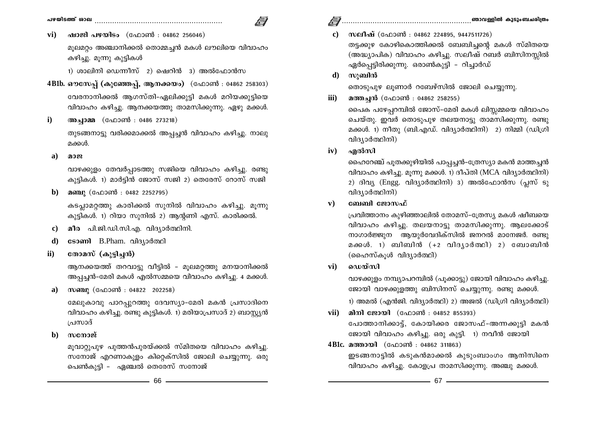$\sqrt{ }$ 

ഷാജി പഴയിടം (ഫോൺ : 04862 256046)  $\mathbf{vi})$ 

മുലമറ്റം അഞ്ചാനിക്കൽ തൊമ്മച്ചൻ മകൾ ലൗലിയെ വിവാഹം കഴിച്ചു. മൂന്നു കൂട്ടികൾ

1) ശാലിനി ഡെന്നീസ് 2) ഷെറിൻ 3) അൽഫോൻസ

- 4B1b. ഔസേപ്പ് (കുഞ്ഞേപ്പ്, ആനക്കയം) (ഫോൺ : 04862 258303) വേരനാനിക്കൽ ആഗസ്തി-ഏലിക്കുട്ടി മകൾ മറിയക്കുട്ടിയെ വിവാഹം കഴിച്ചു. ആനക്കയത്തു താമസിക്കുന്നു. ഏഴു മക്കൾ.
- അച്ചാമ്മ (ഫോൺ : 0486 273218)  $\mathbf{i}$

തുടങ്ങനാട്ടു വരിക്കമാക്കൽ അപ്പച്ചൻ വിവാഹം കഴിച്ചു. നാലു മക്കൾ.

മാജ a)

> വാഴക്കുളം തേവർപ്പാടത്തു സജിയെ വിവാഹം കഴിച്ചു. രണ്ടു കുട്ടികൾ. 1) മാർട്ടിൻ ജോസ് സജി 2) തെരേസ് റോസ് സജി

മഞ്ചു (ഫോൺ : 0482 2252795) b)

> കടപ്ലാമറ്റത്തു കാരിക്കൽ സുനിൽ വിവാഹം കഴിച്ചു. മൂന്നു കൂട്ടികൾ. 1) റിയാ സൂനിൽ 2) ആന്റണി എസ്. കാരിക്കൽ.

- മീര പി.ജി.ഡി.സി.എ. വിദ്യാർത്ഥിനി.  $\bf c)$
- d) sോണി B.Pham. വിദ്യാർത്ഥി
- $\mathbf{ii}$ തോമസ് (കുട്ടിച്ചൻ)

ആനക്കയത്ത് തറവാട്ടു വീട്ടിൽ – മൂലമറ്റത്തു മനയാനിക്കൽ അപ്പച്ചൻ-മേരി മകൾ എൽസമ്മയെ വിവാഹം കഴിച്ചു. 4 മക്കൾ.

സഞ്ചു (ഫോൺ : 04822 202258) a)

> മേലുകാവു പാറപ്പുറത്തു ദേവസ്യാ-മേരി മകൻ പ്രസാദിനെ വിവാഹം കഴിച്ചു. രണ്ടു കുട്ടികൾ. 1) മരിയാപ്രസാദ് 2) ബാസ്റ്റ്യൻ പ്രസാദ്

 $\mathbf{b}$ സനോജ്

> മൂവാറ്റുപുഴ പുത്തൻപുരയ്ക്കൽ സ്മിതയെ വിവാഹം കഴിച്ചു. സനോജ് എറണാകുളം കിറ്റെക്സിൽ ജോലി ചെയ്യുന്നു. ഒരു പെൺകുട്ടി – ഏഞ്ചൽ തെരേസ് സനോജ്

- സലീഷ് (ഫോൺ : 04862 224895, 9447511726)  $\mathbf{c}$ തട്ടക്കുഴ കോഴികൊത്തിക്കൽ ബേബിച്ചന്റെ മകൾ സ്മിതയെ (അദ്ധ്യാപിക) വിവാഹം കഴിച്ചു. സലീഷ് റബർ ബിസിനസ്സിൽ ഏർപ്പെട്ടിരിക്കുന്നു. ഒരാൺകുട്ടി – റിച്ചാർഡ്
- സുബിൻ d)

തൊടുപുഴ ലുണാർ റബേഴ്സിൽ ജോലി ചെയ്യുന്നു.

മത്തച്ചൻ (ഫോൺ : 04862 258255) iii)

> പൈക പഴേപ്പറമ്പിൽ ജോസ്-മേരി മകൾ ലിസ്സമ്മയെ വിവാഹം ചെയ്തു. ഇവർ തൊടുപുഴ തലയനാട്ടു താമസിക്കുന്നു. രണ്ടു മക്കൾ. 1) നീതു (ബി.എഡ്. വിദ്യാർത്ഥിനി) 2) നിമ്മി (ഡിഗ്രി വിദ്യാർത്ഥിനി)

എൽസി  $iv)$ 

> ഹൈറേഞ്ച് പുതക്കുഴിയിൽ പാപ്പച്ചൻ-ത്രേസ്യാ മകൻ മാത്തച്ചൻ വിവാഹം കഴിച്ചു. മൂന്നു മക്കൾ. 1) ദീപ്തി (MCA വിദ്യാർത്ഥിനി) 2) ദിവ്യ (Engg. വിദ്യാർത്ഥിനി) 3) അൽഫോൻസ (പ്ലസ് ടു വിദ്യാർത്ഥിനി)

### ${\bf v})$ ബേബി ജോസഫ്

പ്രവിത്താനം കുഴിഞ്ഞാലിൽ തോമസ്–ത്രേസ്യ മകൾ ഷീബയെ വിവാഹം കഴിച്ചു. തലയനാട്ടു താമസിക്കുന്നു. ആലക്കോട് നാഗാർജ്ജുന ആയുർവേദിക്സിൽ ജനറൽ മാനേജർ. രണ്ടു മക്കൾ. 1) ബിബിൻ (+2 വിദ്യാർത്ഥി) 2) ബോബിൻ (ഹൈസ്കൂൾ വിദ്യാർത്ഥി)

ഡെയ്സി vi)

> വാഴക്കുളം നമ്പ്യാപറമ്പിൽ (പൂക്കാട്ടു) ജോയി വിവാഹം കഴിച്ചു. ജോയി വാഴക്കുളത്തു ബിസിനസ് ചെയ്യുന്നു. രണ്ടു മക്കൾ. 1) അമൽ (എൻജി. വിദ്യാർത്ഥി) 2) അജൽ (ഡിഗ്രി വിദ്യാർത്ഥി)

- മിനി ജോയി (ഫോൺ : 04852 855393) vii) പോത്താനിക്കാട്ട്, കോയിക്കര ജോസഫ്-അന്നക്കുട്ടി മകൻ ജോയി വിവാഹം കഴിച്ചു. ഒരു കുട്ടി. 1) നവീൻ ജോയി
- 4B1c. മത്തായി (ഫോൺ : 04862 311863) ഇടങ്ങനാട്ടിൽ കടുകൻമാക്കൽ കുടുംബാംഗം ആനിസിനെ വിവാഹം കഴിച്ചു. കോളപ്ര താമസിക്കുന്നു. അഞ്ചു മക്കൾ.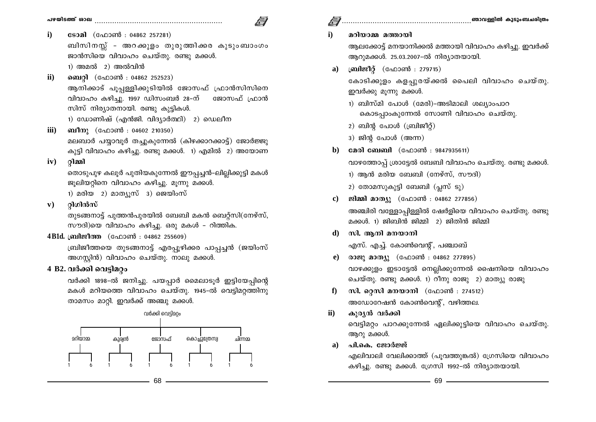- $\mathbf{i}$ **ടോമി** (ഫോൺ : 04862 257281) ബിസിനസ്സ് - അറക്കുളം തുരുത്തിക്കര കുടുംബാംഗം ജാൻസിയെ വിവാഹം ചെയ്തു. രണ്ടു മക്കൾ.  $1)$  അമൽ  $2)$  അൽവിൻ
- ബെറ്റി (ഫോൺ : 04862 252523)  $\mathbf{ii}$ ആനിക്കാട് പൂപ്പള്ളിക്കുടിയിൽ ജോസഫ് ഫ്രാൻസിസിനെ വിവാഹം കഴിച്ചു. 1997 ഡിസംബർ 28–ന് ജോസഫ് ഫ്രാൻ സിസ് നിര്യാതനായി. രണ്ടു കുട്ടികൾ.

1) ഡോണിഷ് (എൻജി. വിദ്യാർത്ഥി) 2) ഡെലീന

ബീനു (ഫോൺ : 04602 210350) iii)

> മലബാർ പയ്യാവൂർ തച്ചുകുന്നേൽ (കിഴക്കാറക്കാട്ട്) ജോർജ്ജു കുട്ടി വിവാഹം കഴിച്ചു. രണ്ടു മക്കൾ. 1) എമിൽ 2) അയോണ

റിമ്മി  $iv)$ 

> തൊടുപുഴ കലൂർ പുതിയകുന്നേൽ ഈപ്പച്ചൻ-ലില്ലിക്കുട്ടി മകൾ ജൂലിയറ്റിനെ വിവാഹം കഴിച്ചു. മൂന്നു മക്കൾ. 1) മരിയ 2) മാത്യൂസ് 3) ജെയിംസ്

റിഗിൻസ്  $\mathbf{v}$ )

> തുടങ്ങനാട്ട് പുത്തൻപുരയിൽ ബേബി മകൻ ബെറ്റ്സി(നേഴ്സ്, സൗദി)യെ വിവാഹം കഴിച്ചു. ഒരു മകൾ - റിത്തിക.

4B1d. ബ്രിജീത്ത (ഫോൺ : 04862 255609)

ബ്രിജീത്തയെ തുടങ്ങനാട്ട് എരപ്പൂഴിക്കര പാപ്പച്ചൻ (ജയിംസ് അഗസ്റ്റിൻ) വിവാഹം ചെയ്തു. നാലു മക്കൾ.

# 4 B2. വർക്കി വെട്ടിമറ്റം

വർക്കി 1898-ൽ ജനിച്ചു. പയപ്പാർ മൈലാടൂർ ഇട്ടിയേപ്പിന്റെ മകൾ മറിയത്തെ വിവാഹം ചെയ്തു. 1945-ൽ വെട്ടിമറ്റത്തിനു താമസം മാറ്റി. ഇവർക്ക് അഞ്ചു മക്കൾ.

വർക്കി വെട്ടിമറ്റം



## മറിയാമ്മ മത്തായി

 $\mathbf{i}$ 

- ആലക്കോട്ട് മനയാനിക്കൽ മത്തായി വിവാഹം കഴിച്ചു. ഇവർക്ക് ആറുമക്കൾ. 25.03.2007-ൽ നിര്യാതയായി.
- ബ്രിജീറ്റ് (ഫോൺ : 279715)  $\mathbf{a}$

കോടിക്കുളം കളപ്പുരയ്ക്കൽ പൈലി വിവാഹം ചെയ്തു. ഇവർക്കു മുന്നു മക്കൾ.

- 1) ബിസ്മി പോൾ (മേരി)-അടിമാലി ശല്യാംപാറ കൊടപാംകൂന്നേൽ സോണി വിവാഹം ചെയ്തു.
- $2)$  ബിൻ പോൾ (ബ്രിജീറ്റ്)
- $3)$  ജിന്റ പോൾ (അന്ന)
- മേരി ബേബി (ഫോൺ : 9847935611) b)

വാഴത്തോപ്പ് ശ്രാട്ടേൽ ബേബി വിവാഹം ചെയ്തു. രണ്ടു മക്കൾ.

1) ആൻ മരിയ ബേബി (നേഴ്സ്, സൗദി)

2) തോമസുകുട്ടി ബേബി (പ്ലസ് ടു)

ജിമ്മി മാത്യു (ഫോൺ : 04862 277856)

അഞ്ചിരി വള്ളോപ്പിള്ളിൽ ഷേർളിയെ വിവാഹം ചെയ്തു. രണ്ടു മക്കൾ. 1) ജിബിൻ ജിമ്മി 2) ജിതിൻ ജിമ്മി

സി. ആനി മനയാനി d).

എസ്. എച്ച്. കോൺവെന്റ്, പഞ്ചാബ്

- രാജു മാത്യു (ഫോൺ : 04862 277895)  $e)$ വാഴക്കുളം ഇടാട്ടേൽ നെല്ലിക്കുന്നേൽ ഷൈനിയെ വിവാഹം ചെയ്തു. രണ്ടു മക്കൾ. 1) റീനു രാജു 2) മാത്യു രാജു
- സി. റ്റെസി മനയാനി (ഫോൺ : 274512)  $f$ അഡോറേഷൻ കോൺവെന്റ്, വഴിത്തല.
- $\mathbf{ii}$ കുര്യൻ വർക്കി വെട്ടിമറ്റം പാറക്കുന്നേൽ ഏലിക്കുട്ടിയെ വിവാഹം ചെയ്തു. ആറു മക്കൾ.
- പി.കെ. ജോർജ്ജ്  $\mathbf{a}$

എലിവാലി വേലിക്കാത്ത് (പുവത്തുങ്കൽ) ഗ്രേസിയെ വിവാഹം കഴിച്ചു. രണ്ടു മക്കൾ. ഗ്രേസി 1992-ൽ നിര്യാതയായി.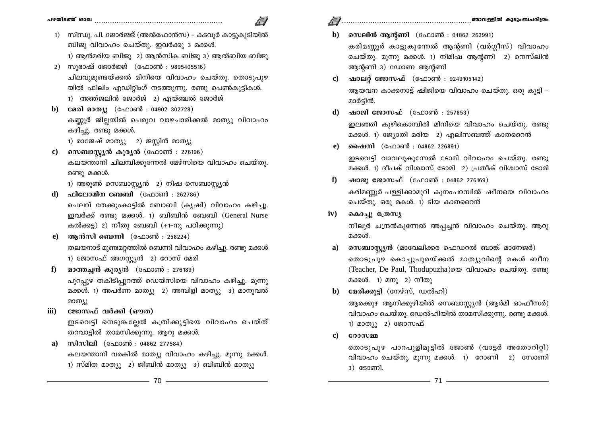- 1) സിന്ധു. പി. ജോർജ്ജ് (അൽഫോൻസ) കടവുർ കാട്ടുകുടിയിൽ ബിജു വിവാഹം ചെയ്തു. ഇവർക്കു 3 മക്കൾ.
	- $1)$  ആൻമരിയ ബിജു  $2)$  ആൻസിക ബിജു  $3)$  ആൽബിയ ബിജു
- 2) സുഭാഷ് ജോർജ്ജ് (ഫോൺ : 9895405516) ചിലവുമുണ്ടയ്ക്കൽ മിനിയെ വിവാഹം ചെയ്തു. തൊടുപുഴ യിൽ ഫിലിം എഡിറ്റിംഗ് നടത്തുന്നു. രണ്ടു പെൺകുട്ടികൾ.
	- 1) അഞ്ജലിൻ ജോർജ് 2) എയ്ഞ്ചൽ ജോർജ്
- b) മേരി മാത്യൂ (ഫോൺ : 04902 302728) കണ്ണൂർ ജില്ലയിൽ പെരുവ വാഴചാരിക്കൽ മാത്യു വിവാഹം കഴിച്ചു. രണ്ടു മക്കൾ.
	- 1) രാജേഷ് മാത്യു 2) ജസ്റ്റിൻ മാത്യു
- സെബാസ്ക്യൻ കുര്യൻ (ഫോൺ : 276196)  $\mathbf{c}$ കലയന്താനി ചിലമ്പിക്കുന്നേൽ മേഴ്സിയെ വിവാഹം ചെയ്തു. രണ്ടു മക്കൾ.

1) അരുൺ സെബാസ്റ്റ്യൻ 2) നിഷ സെബാസ്റ്റ്യൻ

- $d)$  ഫിലോമിന ബേബി (ഫോൺ : 262786) ചെലവ് തേക്കുംകാട്ടിൽ ബോബി (കൃഷി) വിവാഹം കഴിച്ചു. ഇവർക്ക് രണ്ടു മക്കൾ. 1) ബിബിൻ ബേബി (General Nurse കൽക്കട്ട) 2) നീതു ബേബി (+1-നു പഠിക്കുന്നു)
- e) ആൻസി ബെന്നി (ഫോൺ : 258224) തലയനാട് മുണ്ടമറ്റത്തിൽ ബെന്നി വിവാഹം കഴിച്ചു. രണ്ടു മക്കൾ 1) ജോസഫ് അഗസ്ക്യൻ 2) റോസ് മേരി
- മാത്തച്ചൻ കുരൃൻ  $($ ഫോൺ : 276189 $)$  $\bf{f}$ പൂറപൂഴ തകിടിപൂറത്ത് ഡെയ്സിയെ വിവാഹം കഴിച്ചു. മുന്നു മക്കൾ. 1) അപർണ മാത്യു 2) അമ്പിളി മാത്യു 3) മാനുവൽ മാത്യു
- ജോസഫ് വർക്കി (ഔത) iii)

ഇടവെട്ടി നെടുങ്കല്ലേൽ കത്രിക്കുട്ടിയെ വിവാഹം ചെയ്ത് തറവാട്ടിൽ താമസിക്കുന്നു. ആറു മക്കൾ.

a) സിസിലി (ഫോൺ : 04862 277584) കലയന്താനി വരകിൽ മാത്യു വിവാഹം കഴിച്ചു. മുന്നു മക്കൾ. 1) സ്മിത മാത്യു 2) ജിബിൻ മാത്യു 3) ബിബിൻ മാത്യു

- b) സെലിൻ ആന്റണി (ഫോൺ : 04862 262991) കരിമണ്ണൂർ കാട്ടുകുന്നേൽ ആന്റണി (വർഗ്ഗീസ്) വിവാഹം ചെയ്തു. മുന്നു മക്കൾ. 1) നിമിഷ ആന്റണി 2) നെസ്ലിൻ ആൻണി 3) ഡോണ ആൻണി
- ഷാലറ്റ് ജോസഫ് (ഫോൺ : 9249105142)  $\mathbf{c}$ ) ആയവന കാക്കനാട്ട് ഷിജിയെ വിവാഹം ചെയ്തു. ഒരു കുട്ടി – മാർട്ടിൻ.
- ഷാജി ജോസഫ് (ഫോൺ : 257853) d) ഇലഞ്ഞി കുഴികൊമ്പിൽ മിനിയെ വിവാഹം ചെയ്തു. രണ്ടു മക്കൾ. 1) ജ്യോതി മരിയ 2) എലിസബത്ത് കാതറൈൻ
- **പൈനി** (ഫോൺ : 04862 226891)  $e$ )

ഇടവെട്ടി വാവലുകുന്നേൽ ടോമി വിവാഹം ചെയ്തു. രണ്ടു മക്കൾ. 1) ദീപക് വിശ്വാസ് ടോമി 2) പ്രതീക് വിശ്വാസ് ടോമി

- ഷാജു ജോസഫ് (ഫോൺ : 04862 276169)  $f$ കരിമണ്ണർ പള്ളിക്കാമുറി കുനംപറമ്പിൽ ഷീനയെ വിവാഹം ചെയ്തു. ഒരു മകൾ. 1) ടിയ കാതറൈൻ
- $iv)$ കൊച്ചു ത്രേസ്യ

നീലൂർ ചന്ദ്രൻകുന്നേൽ അപ്പച്ചൻ വിവാഹം ചെയ്തു. ആറു മക്കൾ.

- സെബാസ്ല്യൻ (മാവേലിക്കര ഫെഡറൽ ബാങ്ക് മാനേജർ)  $a)$ തൊടുപുഴ കൊച്ചുപുരയ്ക്കൽ മാത്യുവിന്റെ മകൾ ബീന (Teacher, De Paul, Thodupuzha)യെ വിവാഹം ചെയ്തു. രണ്ടു മക്കൾ. 1) മനു 2) നീതു
- മേരിക്കുട്ടി (നേഴ്സ്, ഡൽഹി)  $\mathbf{b}$

ആരക്കുഴ ആനിക്കുഴിയിൽ സെബാസ്റ്റ്യൻ (ആർമി ഓഫീസർ) വിവാഹം ചെയ്തു. ഡെൽഹിയിൽ താമസിക്കുന്നു. രണ്ടു മക്കൾ. 1) മാത്യു 2) ജോസഫ്

റോസമ്മ  $\mathbf{c}$ 

> തൊടുപുഴ പാറപുളിമുട്ടിൽ ജോൺ (വാട്ടർ അതോറിറ്റി) വിവാഹം ചെയ്തു. മൂന്നു മക്കൾ. 1) റോണി 2) സോണി  $3)$   $$3$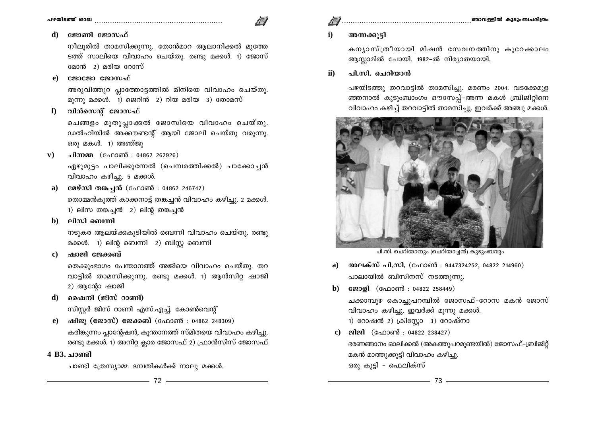#### $\mathbf{d}$ ജോണി ജോസഫ്

നീലൂരിൽ താമസിക്കുന്നു. തോൻമാറ ആലാനിക്കൽ മുത്തേ ടത്ത് സാലിയെ വിവാഹം ചെയ്തു. രണ്ടു മക്കൾ. 1) ജോസ് മോൻ 2) മരിയ റോസ്

#### ജോജോ ജോസഫ് e)

അരുവിത്തുറ പ്ലാത്തോട്ടത്തിൽ മിനിയെ വിവാഹം ചെയ്തു. മൂന്നു മക്കൾ. 1) ജെറിൻ 2) റിയ മരിയ 3) തോമസ്

വിൻസെന്റ് ജോസഫ്  $f$ 

> ചെങ്ങളം മുതുപ്ലാക്കൽ ജോസിയെ വിവാഹം ചെയ്തു. ഡൽഹിയിൽ അക്കൗണ്ടന്റ് ആയി ജോലി ചെയ്തു വരുന്നു. ഒരു മകൾ. 1) അഞ്ജു

ചിന്നമ്മ (ഫോൺ : 04862 262926)  ${\bf v})$ 

> ഏഴുമുട്ടം പാലിക്കുന്നേൽ (ചെമ്പരത്തിക്കൽ) ചാക്കോച്ചൻ വിവാഹം കഴിച്ചു. 5 മക്കൾ.

- മേഴ്സി തങ്കച്ചൻ (ഫോൺ : 04862 246747) a) തൊമ്മൻകുത്ത് കാക്കനാട്ട് തങ്കച്ചൻ വിവാഹം കഴിച്ചു. 2 മക്കൾ. 1) ലിസ തങ്കച്ചൻ 2) ലിന്റ തങ്കച്ചൻ
- ലിസി ബെന്നി b)

നടുകര ആലയ്ക്കകുടിയിൽ ബെന്നി വിവാഹം ചെയ്തു. രണ്ടു മക്കൾ. 1) ലിന്റ ബെന്നി 2) ബിസ്റ്റ ബെന്നി

ഷാജി ജേക്കബ്  $\mathbf{c}$ 

> തെക്കുംഭാഗം പേന്താനത്ത് അജിയെ വിവാഹം ചെയ്തു. തറ വാട്ടിൽ താമസിക്കുന്നു. രണ്ടു മക്കൾ. 1) ആൻസിറ്റ ഷാജി 2) ആന്റോ ഷാജി

d) ഷൈനി (ജിസ് റാണി)

സിസ്റ്റർ ജിസ് റാണി എസ്.എച്ച്. കോൺവെന്റ്

- e) ഷിജു (ജോസ്) ജേക്കബ് (ഫോൺ : 04862 248309) കരിങ്കുന്നം പ്ലാന്റേഷൻ, കുന്താനത്ത് സ്മിതയെ വിവാഹം കഴിച്ചു. രണ്ടു മക്കൾ. 1) അനിറ്റ ക്ലാര ജോസഫ് 2) ഫ്രാൻസിസ് ജോസഫ്
- 4 B3. **ചാണ്ടി**

ചാണ്ടി ത്രേസ്യാമ്മ ദമ്പതികൾക്ക് നാലു മക്കൾ.

അന്നക്കുട്ടി  $\mathbf{i}$ 

> കന്യാസ്ത്രീയായി മിഷൻ സേവനത്തിനു കുറേക്കാലം ആസ്സാമിൽ പോയി. 1982-ൽ നിര്യാതയായി.

ചി.സി. ചെറിയാൻ  $\mathbf{ii}$ 

> പഴയിടത്തു തറവാട്ടിൽ താമസിച്ചു. മരണം 2004. വടക്കേമുള ഞ്ഞനാൽ കുടുംബാംഗം ഔസേപ്പ്-അന്ന മകൾ ബ്രിജിറ്റിനെ വിവാഹം കഴിച്ച് തറവാട്ടിൽ താമസിച്ചു. ഇവർക്ക് അഞ്ചു മക്കൾ.



പി.സി. ചെറിയാനും (ചെറിയാച്ചൻ) കുടുംബവും

- അലക്സ് പി.സി. (ഫോൺ : 9447324252, 04822 214960)  $a)$ പാലായിൽ ബിസിനസ് നടത്തുന്നു.
- ജോളി (ഫോൺ : 04822 258449) b)

ചക്കാമ്പുഴ കൊച്ചുപറമ്പിൽ ജോസഫ്–റോസ മകൻ ജോസ് വിവാഹം കഴിച്ചു. ഇവർക്ക് മൂന്നു മക്കൾ. 1) റോഷൻ 2) ക്രിസ്റ്റോ 3) റോഷ്നാ

c) ജിജി (ഫോൺ : 04822 238427) ഭരണങ്ങാനം ഓലിക്കൽ (അകത്തുപറമുണ്ടയിൽ) ജോസഫ്-ബ്രിജിറ്റ് മകൻ മാത്തുക്കുട്ടി വിവാഹം കഴിച്ചു. ഒരു കുട്ടി - ഫെലിക്സ്